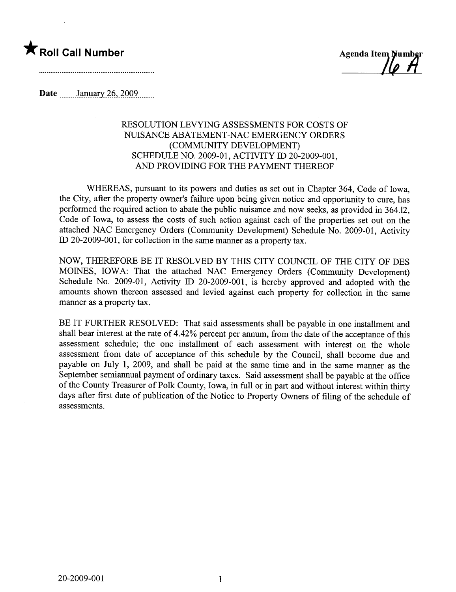

\* Roll Call Number Agenda Item Number

Date  $\frac{\text{January } 26, 2009}{\text{Input}}$ 

## RESOLUTION LEVYING ASSESSMENTS FOR COSTS OF NUISANCE ABATEMENT-NAC EMERGENCY ORDERS (COMMUNITY DEVELOPMENT) SCHEDULE NO. 2009-01, ACTIVITY ID 20-2009-001, AND PROVIDING FOR THE PAYMENT THEREOF

WHEREAS, pursuant to its powers and duties as set out in Chapter 364, Code of Iowa, the City, after the property owner's failure upon being given notice and opportunity to cure, has performed the required action to abate the public nuisance and now seeks, as provided in 364.12, Code of Iowa, to assess the costs of such action against each of the properties set out on the attached NAC Emergency Orders (Community Development) Schedule No. 2009-01, Activity ID 20-2009-001, for collection in the same manner as a property tax.

NOW, THEREFORE BE IT RESOLVED BY THIS CITY COUNCIL OF THE CITY OF DES MOINES, IOWA: That the attached NAC Emergency Orders (Community Development) Schedule No. 2009-01, Activity ID 20-2009-001, is hereby approved and adopted with the amounts shown thereon assessed and levied against each property for collection in the same maner as a property tax.

BE IT FURTHER RESOLVED: That said assessments shall be payable in one installment and shall bear interest at the rate of 4.42% percent per annum, from the date of the acceptance of this assessment schedule; the one installment of each assessment with interest on the whole assessment from date of acceptance of this schedule by the Council, shall become due and payable on July 1, 2009, and shall be paid at the same time and in the same manner as the September semiannual payment of ordinary taxes. Said assessment shall be payable at the office of the County Treasurer of Polk County, Iowa, in full or in part and without interest within thirty days after first date of publication of the Notice to Property Owners of filing of the schedule of assessments.